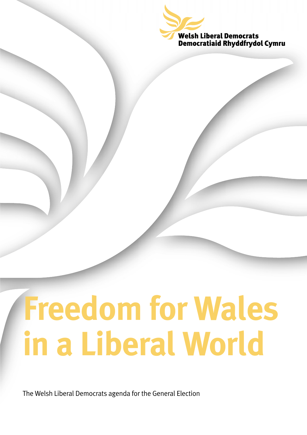

# **Freedom for Wales in a Liberal World**

The Welsh Liberal Democrats agenda for the General Election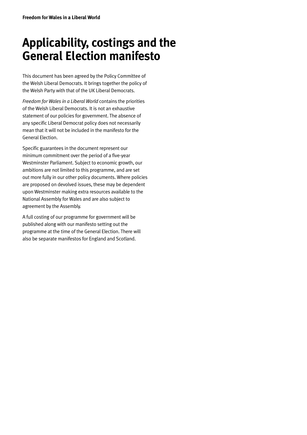# **Applicability, costings and the General Election manifesto**

This document has been agreed by the Policy Committee of the Welsh Liberal Democrats. It brings together the policy of the Welsh Party with that of the UK Liberal Democrats.

*Freedom for Wales in a Liberal World* contains the priorities of the Welsh Liberal Democrats. It is not an exhaustive statement of our policies for government. The absence of any specific Liberal Democrat policy does not necessarily mean that it will not be included in the manifesto for the General Election.

Specific guarantees in the document represent our minimum commitment over the period of a five-year Westminster Parliament. Subject to economic growth, our ambitions are not limited to this programme, and are set out more fully in our other policy documents. Where policies are proposed on devolved issues, these may be dependent upon Westminster making extra resources available to the National Assembly for Wales and are also subject to agreement by the Assembly.

A full costing of our programme for government will be published along with our manifesto setting out the programme at the time of the General Election. There will also be separate manifestos for England and Scotland.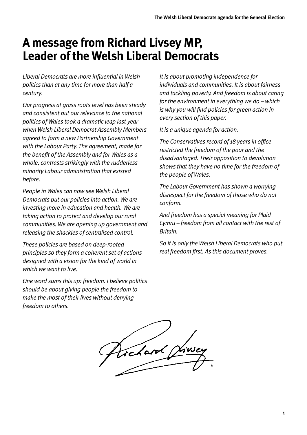# **A message from Richard Livsey MP, Leader of the Welsh Liberal Democrats**

*Liberal Democrats are more influential in Welsh politics than at any time for more than half a century.*

*Our progress at grass roots level has been steady and consistent but our relevance to the national politics of Wales took a dramatic leap last year when Welsh Liberal Democrat Assembly Members agreed to form a new Partnership Government with the Labour Party. The agreement, made for the benefit of the Assembly and for Wales as a whole, contrasts strikingly with the rudderless minority Labour administration that existed before.*

*People in Wales can now see Welsh Liberal Democrats put our policies into action. We are investing more in education and health. We are taking action to protect and develop our rural communities. We are opening up government and releasing the shackles of centralised control.*

*These policies are based on deep-rooted principles so they form a coherent set of actions designed with a vision for the kind of world in which we want to live.*

*One word sums this up: freedom. I believe politics should be about giving people the freedom to make the most of their lives without denying freedom to others.*

*It is about promoting independence for individuals and communities. It is about fairness and tackling poverty. And freedom is about caring for the environment in everything we do – which is why you will find policies for green action in every section of this paper.*

*It is a unique agenda for action.*

*The Conservatives record of 18 years in office restricted the freedom of the poor and the disadvantaged. Their opposition to devolution shows that they have no time for the freedom of the people of Wales.*

*The Labour Government has shown a worrying disrespect for the freedom of those who do not conform.*

*And freedom has a special meaning for Plaid Cymru – freedom from all contact with the rest of Britain.*

*So it is only the Welsh Liberal Democrats who put real freedom first. As this document proves.*

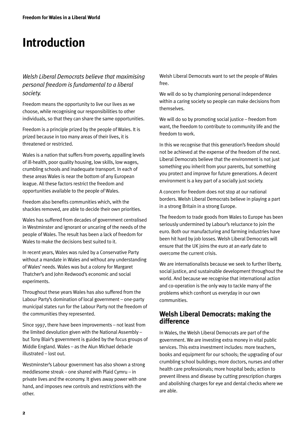# **Introduction**

*Welsh Liberal Democrats believe that maximising personal freedom is fundamental to a liberal society.*

Freedom means the opportunity to live our lives as we choose, while recognising our responsibilities to other individuals, so that they can share the same opportunities.

Freedom is a principle prized by the people of Wales. It is prized because in too many areas of their lives, it is threatened or restricted.

Wales is a nation that suffers from poverty, appalling levels of ill-health, poor quality housing, low skills, low wages, crumbling schools and inadequate transport. In each of these areas Wales is near the bottom of any European league. All these factors restrict the freedom and opportunities available to the people of Wales.

Freedom also benefits communities which, with the shackles removed, are able to decide their own priorities.

Wales has suffered from decades of government centralised in Westminster and ignorant or uncaring of the needs of the people of Wales. The result has been a lack of freedom for Wales to make the decisions best suited to it.

In recent years, Wales was ruled by a Conservative Party without a mandate in Wales and without any understanding of Wales' needs. Wales was but a colony for Margaret Thatcher's and John Redwood's economic and social experiments.

Throughout these years Wales has also suffered from the Labour Party's domination of local government – one-party municipal states run for the Labour Party not the freedom of the communities they represented.

Since 1997, there have been improvements – not least from the limited devolution given with the National Assembly – but Tony Blair's government is guided by the focus groups of Middle England. Wales – as the Alun Michael debacle illustrated – lost out.

Westminster's Labour government has also shown a strong meddlesome streak – one shared with Plaid Cymru – in private lives and the economy. It gives away power with one hand, and imposes new controls and restrictions with the other.

Welsh Liberal Democrats want to set the people of Wales free.

We will do so by championing personal independence within a caring society so people can make decisions from themselves.

We will do so by promoting social justice – freedom from want, the freedom to contribute to community life and the freedom to work.

In this we recognise that this generation's freedom should not be achieved at the expense of the freedom of the next. Liberal Democrats believe that the environment is not just something you inherit from your parents, but something you protect and improve for future generations. A decent environment is a key part of a socially just society.

A concern for freedom does not stop at our national borders. Welsh Liberal Democrats believe in playing a part in a strong Britain in a strong Europe.

The freedom to trade goods from Wales to Europe has been seriously undermined by Labour's reluctance to join the euro. Both our manufacturing and farming industries have been hit hard by job losses. Welsh Liberal Democrats will ensure that the UK joins the euro at an early date to overcome the current crisis.

We are internationalists because we seek to further liberty. social justice, and sustainable development throughout the world. And because we recognise that international action and co-operation is the only way to tackle many of the problems which confront us everyday in our own communities.

### **Welsh Liberal Democrats: making the difference**

In Wales, the Welsh Liberal Democrats are part of the government. We are investing extra money in vital public services. This extra investment includes: more teachers, books and equipment for our schools; the upgrading of our crumbling school buildings; more doctors, nurses and other health care professionals; more hospital beds; action to prevent illness and disease by cutting prescription charges and abolishing charges for eye and dental checks where we are able.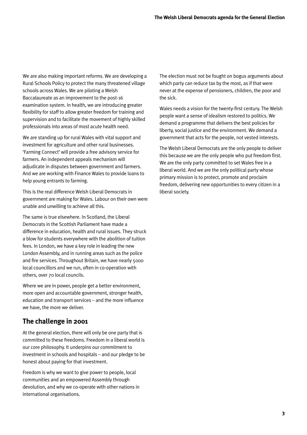We are also making important reforms. We are developing a Rural Schools Policy to protect the many threatened village schools across Wales. We are piloting a Welsh Baccalaureate as an improvement to the post-16 examination system. In health, we are introducing greater flexibility for staff to allow greater freedom for training and supervision and to facilitate the movement of highly skilled professionals into areas of most acute health need.

We are standing up for rural Wales with vital support and investment for agriculture and other rural businesses. 'Farming Connect' will provide a free advisory service for farmers. An independent appeals mechanism will adjudicate in disputes between government and farmers. And we are working with Finance Wales to provide loans to help young entrants to farming.

This is the real difference Welsh Liberal Democrats in government are making for Wales. Labour on their own were unable and unwilling to achieve all this.

The same is true elsewhere. In Scotland, the Liberal Democrats in the Scottish Parliament have made a difference in education, health and rural issues. They struck a blow for students everywhere with the abolition of tuition fees. In London, we have a key role in leading the new London Assembly, and in running areas such as the police and fire services. Throughout Britain, we have nearly 5000 local councillors and we run, often in co-operation with others, over 70 local councils.

Where we are in power, people get a better environment, more open and accountable government, stronger health, education and transport services – and the more influence we have, the more we deliver.

### **The challenge in 2001**

At the general election, there will only be one party that is committed to these freedoms. Freedom in a liberal world is our core philosophy. It underpins our commitment to investment in schools and hospitals – and our pledge to be honest about paying for that investment.

Freedom is why we want to give power to people, local communities and an empowered Assembly through devolution, and why we co-operate with other nations in international organisations.

The election must not be fought on bogus arguments about which party can reduce tax by the most, as if that were never at the expense of pensioners, children, the poor and the sick.

Wales needs a vision for the twenty-first century. The Welsh people want a sense of idealism restored to politics. We demand a programme that delivers the best policies for liberty, social justice and the environment. We demand a government that acts for the people, not vested interests.

The Welsh Liberal Democrats are the only people to deliver this because we are the only people who put freedom first. We are the only party committed to set Wales free in a liberal world. And we are the only political party whose primary mission is to protect, promote and proclaim freedom, delivering new opportunities to every citizen in a liberal society.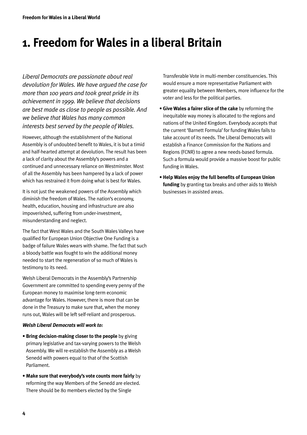# **1. Freedom for Wales in a liberal Britain**

*Liberal Democrats are passionate about real devolution for Wales. We have argued the case for more than 100 years and took great pride in its achievement in 1999. We believe that decisions are best made as close to people as possible. And we believe that Wales has many common interests best served by the people of Wales.*

However, although the establishment of the National Assembly is of undoubted benefit to Wales, it is but a timid and half-hearted attempt at devolution. The result has been a lack of clarity about the Assembly's powers and a continued and unnecessary reliance on Westminster. Most of all the Assembly has been hampered by a lack of power which has restrained it from doing what is best for Wales.

It is not just the weakened powers of the Assembly which diminish the freedom of Wales. The nation's economy, health, education, housing and infrastructure are also impoverished, suffering from under-investment, misunderstanding and neglect.

The fact that West Wales and the South Wales Valleys have qualified for European Union Objective One Funding is a badge of failure Wales wears with shame. The fact that such a bloody battle was fought to win the additional money needed to start the regeneration of so much of Wales is testimony to its need.

Welsh Liberal Democrats in the Assembly's Partnership Government are committed to spending every penny of the European money to maximise long-term economic advantage for Wales. However, there is more that can be done in the Treasury to make sure that, when the money runs out, Wales will be left self-reliant and prosperous.

#### *Welsh Liberal Democrats will work to:*

- **Bring decision-making closer to the people** by giving primary legislative and tax-varying powers to the Welsh Assembly. We will re-establish the Assembly as a Welsh Senedd with powers equal to that of the Scottish Parliament.
- **Make sure that everybody's vote counts more fairly** by reforming the way Members of the Senedd are elected. There should be 80 members elected by the Single

Transferable Vote in multi-member constituencies. This would ensure a more representative Parliament with greater equality between Members, more influence for the voter and less for the political parties.

- **Give Wales a fairer slice of the cake** by reforming the inequitable way money is allocated to the regions and nations of the United Kingdom. Everybody accepts that the current 'Barnett Formula' for funding Wales fails to take account of its needs. The Liberal Democrats will establish a Finance Commission for the Nations and Regions (FCNR) to agree a new needs-based formula. Such a formula would provide a massive boost for public funding in Wales.
- **Help Wales enjoy the full benefits of European Union funding** by granting tax breaks and other aids to Welsh businesses in assisted areas.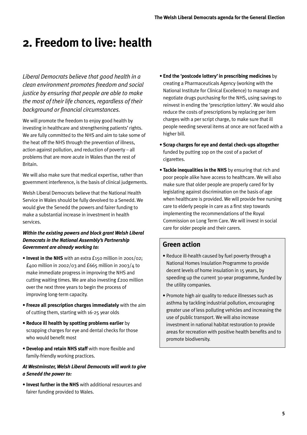# **2. Freedom to live: health**

*Liberal Democrats believe that good health in a clean environment promotes freedom and social justice by ensuring that people are able to make the most of their life chances, regardless of their background or financial circumstances.*

We will promote the freedom to enjoy good health by investing in healthcare and strengthening patients' rights. We are fully committed to the NHS and aim to take some of the heat off the NHS through the prevention of illness, action against pollution, and reduction of poverty – all problems that are more acute in Wales than the rest of Britain.

We will also make sure that medical expertise, rather than government interference, is the basis of clinical judgements.

Welsh Liberal Democrats believe that the National Health Service in Wales should be fully devolved to a Senedd. We would give the Senedd the powers and fairer funding to make a substantial increase in investment in health services.

#### *Within the existing powers and block grant Welsh Liberal Democrats in the National Assembly's Partnership Government are already working to:*

- **Invest in the NHS** with an extra £150 million in 2001/02; £400 million in 2002/03 and £665 million in 2003/4 to make immediate progress in improving the NHS and cutting waiting times. We are also investing £200 million over the next three years to begin the process of improving long-term capacity.
- **Freeze all prescription charges immediately** with the aim of cutting them, starting with 16-25 year olds
- **Reduce ill health by spotting problems earlier** by scrapping charges for eye and dental checks for those who would benefit most
- **Develop and retain NHS staff** with more flexible and family-friendly working practices.

#### *At Westminster, Welsh Liberal Democrats will work to give a Senedd the power to:*

• **Invest further in the NHS** with additional resources and fairer funding provided to Wales.

- **End the 'postcode lottery' in prescribing medicines** by creating a Pharmaceuticals Agency (working with the National Institute for Clinical Excellence) to manage and negotiate drugs purchasing for the NHS, using savings to reinvest in ending the 'prescription lottery'. We would also reduce the costs of prescriptions by replacing per item charges with a per script charge, to make sure that ill people needing several items at once are not faced with a higher bill.
- **Scrap charges for eye and dental check-ups altogether** funded by putting 10p on the cost of a packet of cigarettes.
- **Tackle inequalities in the NHS** by ensuring that rich and poor people alike have access to healthcare. We will also make sure that older people are properly cared for by legislating against discrimination on the basis of age when healthcare is provided. We will provide free nursing care to elderly people in care as a first step towards implementing the recommendations of the Royal Commission on Long Term Care. We will invest in social care for older people and their carers.

- Reduce ill-health caused by fuel poverty through a National Homes Insulation Programme to provide decent levels of home insulation in 15 years, by speeding up the current 30-year programme, funded by the utility companies.
- Promote high air quality to reduce illnesses such as asthma by tackling industrial pollution, encouraging greater use of less polluting vehicles and increasing the use of public transport. We will also increase investment in national habitat restoration to provide areas for recreation with positive health benefits and to promote biodiversity.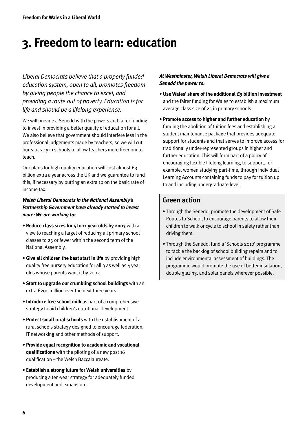# **3. Freedom to learn: education**

*Liberal Democrats believe that a properly funded education system, open to all, promotes freedom by giving people the chance to excel, and providing a route out of poverty. Education is for life and should be a lifelong experience.*

We will provide a Senedd with the powers and fairer funding to invest in providing a better quality of education for all. We also believe that government should interfere less in the professional judgements made by teachers, so we will cut bureaucracy in schools to allow teachers more freedom to teach.

Our plans for high quality education will cost almost £3 billion extra a year across the UK and we guarantee to fund this, if necessary by putting an extra 1p on the basic rate of income tax.

#### *Welsh Liberal Democrats in the National Assembly's Partnership Government have already started to invest more: We are working to:*

- **Reduce class sizes for 5 to 11 year olds by 2003** with a view to reaching a target of reducing all primary school classes to 25 or fewer within the second term of the National Assembly.
- **Give all children the best start in life** by providing high quality free nursery education for all 3 as well as 4 year olds whose parents want it by 2003.
- **Start to upgrade our crumbling school buildings** with an extra £200 million over the next three years.
- **Introduce free school milk** as part of a comprehensive strategy to aid children's nutritional development.
- **Protect small rural schools** with the establishment of a rural schools strategy designed to encourage federation, IT networking and other methods of support.
- **Provide equal recognition to academic and vocational qualifications** with the piloting of a new post 16 qualification – the Welsh Baccalaureate.
- **Establish a strong future for Welsh universities** by producing a ten-year strategy for adequately funded development and expansion.

#### *At Westminster, Welsh Liberal Democrats will give a Senedd the power to:*

- **Use Wales' share of the additional £3 billion investment** and the fairer funding for Wales to establish a maximum average class size of 25 in primary schools.
- **Promote access to higher and further education** by funding the abolition of tuition fees and establishing a student maintenance package that provides adequate support for students and that serves to improve access for traditionally under-represented groups in higher and further education. This will form part of a policy of encouraging flexible lifelong learning, to support, for example, women studying part-time, through Individual Learning Accounts containing funds to pay for tuition up to and including undergraduate level.

- Through the Senedd, promote the development of Safe Routes to School, to encourage parents to allow their children to walk or cycle to school in safety rather than driving them.
- Through the Senedd, fund a 'Schools 2010' programme to tackle the backlog of school building repairs and to include environmental assessment of buildings. The programme would promote the use of better insulation, double glazing, and solar panels wherever possible.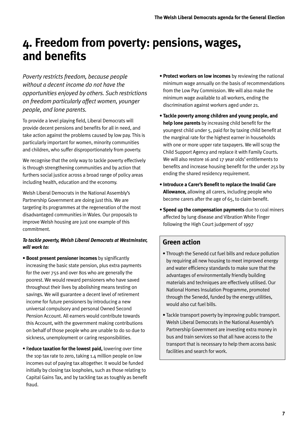# **4. Freedom from poverty: pensions, wages, and benefits**

*Poverty restricts freedom, because people without a decent income do not have the opportunities enjoyed by others. Such restrictions on freedom particularly affect women, younger people, and lone parents.*

To provide a level playing field, Liberal Democrats will provide decent pensions and benefits for all in need, and take action against the problems caused by low pay. This is particularly important for women, minority communities and children, who suffer disproportionately from poverty.

We recognise that the only way to tackle poverty effectively is through strengthening communities and by action that furthers social justice across a broad range of policy areas including health, education and the economy.

Welsh Liberal Democrats in the National Assembly's Partnership Government are doing just this. We are targeting its programmes at the regeneration of the most disadvantaged communities in Wales. Our proposals to improve Welsh housing are just one example of this commitment.

#### *To tackle poverty, Welsh Liberal Democrats at Westminster, will work to:*

- **Boost present pensioner incomes** by significantly increasing the basic state pension, plus extra payments for the over 75s and over 80s who are generally the poorest. We would reward pensioners who have saved throughout their lives by abolishing means testing on savings. We will guarantee a decent level of retirement income for future pensioners by introducing a new universal compulsory and personal Owned Second Pension Account. All earners would contribute towards this Account, with the government making contributions on behalf of those people who are unable to do so due to sickness, unemployment or caring responsibilities.
- R**educe taxation for the lowest paid,** lowering over time the 10p tax rate to zero, taking 1.4 million people on low incomes out of paying tax altogether. It would be funded initially by closing tax loopholes, such as those relating to Capital Gains Tax, and by tackling tax as toughly as benefit fraud.
- **Protect workers on low incomes** by reviewing the national minimum wage annually on the basis of recommendations from the Low Pay Commission. We will also make the minimum wage available to all workers, ending the discrimination against workers aged under 21.
- **Tackle poverty among children and young people, and help lone parents** by increasing child benefit for the youngest child under 5, paid for by taxing child benefit at the marginal rate for the highest earner in households with one or more upper rate taxpayers. We will scrap the Child Support Agency and replace it with Family Courts. We will also restore 16 and 17 year olds' entitlements to benefits and increase housing benefit for the under 25s by ending the shared residency requirement.
- **Introduce a Carer's Benefit to replace the Invalid Care Allowance,** allowing all carers, including people who become carers after the age of 65, to claim benefit.
- **Speed up the compensation payments** due to coal miners affected by lung disease and Vibration White Finger following the High Court judgement of 1997

- Through the Senedd cut fuel bills and reduce pollution by requiring all new housing to meet improved energy and water efficiency standards to make sure that the advantages of environmentally friendly building materials and techniques are effectively utilised. Our National Homes Insulation Programme, promoted through the Senedd, funded by the energy utilities, would also cut fuel bills.
- Tackle transport poverty by improving public transport. Welsh Liberal Democrats in the National Assembly's Partnership Government are investing extra money in bus and train services so that all have access to the transport that is necessary to help them access basic facilities and search for work.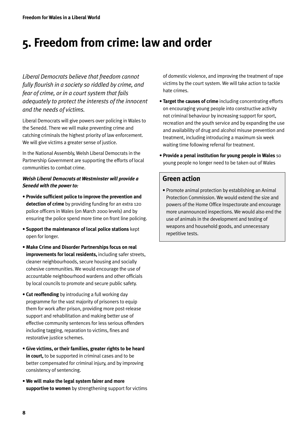# **5. Freedom from crime: law and order**

*Liberal Democrats believe that freedom cannot fully flourish in a society so riddled by crime, and fear of crime, or in a court system that fails adequately to protect the interests of the innocent and the needs of victims.*

Liberal Democrats will give powers over policing in Wales to the Senedd. There we will make preventing crime and catching criminals the highest priority of law enforcement. We will give victims a greater sense of justice.

In the National Assembly, Welsh Liberal Democrats in the Partnership Government are supporting the efforts of local communities to combat crime.

#### *Welsh Liberal Democrats at Westminster will provide a Senedd with the power to:*

- **Provide sufficient police to improve the prevention and detection of crime** by providing funding for an extra 120 police officers in Wales (on March 2000 levels) and by ensuring the police spend more time on front line policing.
- **Support the maintenance of local police stations** kept open for longer.
- **Make Crime and Disorder Partnerships focus on real improvements for local residents,** including safer streets, cleaner neighbourhoods, secure housing and socially cohesive communities. We would encourage the use of accountable neighbourhood wardens and other officials by local councils to promote and secure public safety.
- **Cut reoffending** by introducing a full working day programme for the vast majority of prisoners to equip them for work after prison, providing more post-release support and rehabilitation and making better use of effective community sentences for less serious offenders including tagging, reparation to victims, fines and restorative justice schemes.
- **Give victims, or their families, greater rights to be heard in court,** to be supported in criminal cases and to be better compensated for criminal injury, and by improving consistency of sentencing.
- **We will make the legal system fairer and more supportive to women** by strengthening support for victims

of domestic violence, and improving the treatment of rape victims by the court system. We will take action to tackle hate crimes.

- **Target the causes of crime** including concentrating efforts on encouraging young people into constructive activity not criminal behaviour by increasing support for sport, recreation and the youth service and by expanding the use and availability of drug and alcohol misuse prevention and treatment, including introducing a maximum six week waiting time following referral for treatment.
- **Provide a penal institution for young people in Wales** so young people no longer need to be taken out of Wales

### **Green action**

• Promote animal protection by establishing an Animal Protection Commission. We would extend the size and powers of the Home Office Inspectorate and encourage more unannounced inspections. We would also end the use of animals in the development and testing of weapons and household goods, and unnecessary repetitive tests.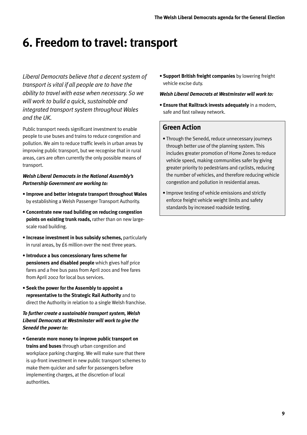# **6. Freedom to travel: transport**

*Liberal Democrats believe that a decent system of transport is vital if all people are to have the ability to travel with ease when necessary. So we will work to build a quick, sustainable and integrated transport system throughout Wales and the UK.*

Public transport needs significant investment to enable people to use buses and trains to reduce congestion and pollution. We aim to reduce traffic levels in urban areas by improving public transport, but we recognise that in rural areas, cars are often currently the only possible means of transport.

#### *Welsh Liberal Democrats in the National Assembly's Partnership Government are working to:*

- **Improve and better integrate transport throughout Wales** by establishing a Welsh Passenger Transport Authority.
- **Concentrate new road building on reducing congestion points on existing trunk roads,** rather than on new largescale road building.
- **Increase investment in bus subsidy schemes,** particularly in rural areas, by £6 million over the next three years.
- **Introduce a bus concessionary fares scheme for pensioners and disabled people** which gives half price fares and a free bus pass from April 2001 and free fares from April 2002 for local bus services.
- **Seek the power for the Assembly to appoint a representative to the Strategic Rail Authority** and to direct the Authority in relation to a single Welsh franchise.

#### *To further create a sustainable transport system, Welsh Liberal Democrats at Westminster will work to give the Senedd the power to:*

• **Generate more money to improve public transport on trains and buses** through urban congestion and workplace parking charging. We will make sure that there is up-front investment in new public transport schemes to make them quicker and safer for passengers before implementing charges, at the discretion of local authorities.

• **Support British freight companies** by lowering freight vehicle excise duty.

#### *Welsh Liberal Democrats at Westminster will work to:*

• **Ensure that Railtrack invests adequately** in a modern, safe and fast railway network.

- Through the Senedd, reduce unnecessary journeys through better use of the planning system. This includes greater promotion of Home Zones to reduce vehicle speed, making communities safer by giving greater priority to pedestrians and cyclists, reducing the number of vehicles, and therefore reducing vehicle congestion and pollution in residential areas.
- Improve testing of vehicle emissions and strictly enforce freight vehicle weight limits and safety standards by increased roadside testing.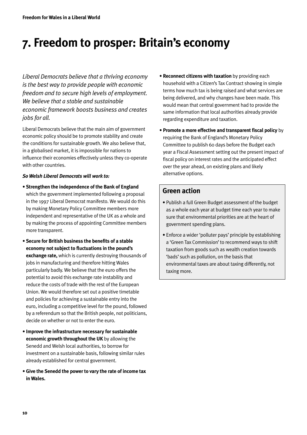# **7. Freedom to prosper: Britain's economy**

*Liberal Democrats believe that a thriving economy is the best way to provide people with economic freedom and to secure high levels of employment. We believe that a stable and sustainable economic framework boosts business and creates jobs for all.*

Liberal Democrats believe that the main aim of government economic policy should be to promote stability and create the conditions for sustainable growth. We also believe that, in a globalised market, it is impossible for nations to influence their economies effectively unless they co-operate with other countries.

#### *So Welsh Liberal Democrats will work to:*

- **Strengthen the independence of the Bank of England** which the government implemented following a proposal in the 1997 Liberal Democrat manifesto. We would do this by making Monetary Policy Committee members more independent and representative of the UK as a whole and by making the process of appointing Committee members more transparent.
- **Secure for British business the benefits of a stable economy not subject to fluctuations in the pound's exchange rate,** which is currently destroying thousands of jobs in manufacturing and therefore hitting Wales particularly badly. We believe that the euro offers the potential to avoid this exchange rate instability and reduce the costs of trade with the rest of the European Union. We would therefore set out a positive timetable and policies for achieving a sustainable entry into the euro, including a competitive level for the pound, followed by a referendum so that the British people, not politicians, decide on whether or not to enter the euro.
- **Improve the infrastructure necessary for sustainable economic growth throughout the UK** by allowing the Senedd and Welsh local authorities, to borrow for investment on a sustainable basis, following similar rules already established for central government.
- **Give the Senedd the power to vary the rate of income tax in Wales.**
- **Reconnect citizens with taxation** by providing each household with a Citizen's Tax Contract showing in simple terms how much tax is being raised and what services are being delivered, and why changes have been made. This would mean that central government had to provide the same information that local authorities already provide regarding expenditure and taxation.
- **Promote a more effective and transparent fiscal policy** by requiring the Bank of England's Monetary Policy Committee to publish 60 days before the Budget each year a Fiscal Assessment setting out the present impact of fiscal policy on interest rates and the anticipated effect over the year ahead, on existing plans and likely alternative options.

- Publish a full Green Budget assessment of the budget as a whole each year at budget time each year to make sure that environmental priorities are at the heart of government spending plans.
- Enforce a wider 'polluter pays' principle by establishing a 'Green Tax Commission' to recommend ways to shift taxation from goods such as wealth creation towards 'bads' such as pollution, on the basis that environmental taxes are about taxing differently, not taxing more.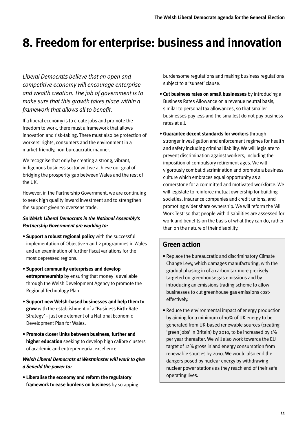# **8. Freedom for enterprise: business and innovation**

*Liberal Democrats believe that an open and competitive economy will encourage enterprise and wealth creation. The job of government is to make sure that this growth takes place within a framework that allows all to benefit.*

If a liberal economy is to create jobs and promote the freedom to work, there must a framework that allows innovation and risk-taking. There must also be protection of workers' rights, consumers and the environment in a market-friendly, non-bureaucratic manner.

We recognise that only by creating a strong, vibrant, indigenous business sector will we achieve our goal of bridging the prosperity gap between Wales and the rest of the UK.

However, in the Partnership Government, we are continuing to seek high quality inward investment and to strengthen the support given to overseas trade.

#### *So Welsh Liberal Democrats in the National Assembly's Partnership Government are working to:*

- **Support a robust regional policy** with the successful implementation of Objective 1 and 2 programmes in Wales and an examination of further fiscal variations for the most depressed regions.
- **Support community enterprises and develop entrepreneurship** by ensuring that money is available through the Welsh Development Agency to promote the Regional Technology Plan
- **Support new Welsh-based businesses and help them to grow** with the establishment of a 'Business Birth-Rate Strategy' – just one element of a National Economic Development Plan for Wales.
- **Promote closer links between business, further and higher education** seeking to develop high calibre clusters of academic and entrepreneurial excellence.

*Welsh Liberal Democrats at Westminster will work to give a Senedd the power to:*

• **Liberalise the economy and reform the regulatory framework to ease burdens on business** by scrapping burdensome regulations and making business regulations subject to a 'sunset' clause.

- **Cut business rates on small businesses** by introducing a Business Rates Allowance on a revenue neutral basis, similar to personal tax allowances, so that smaller businesses pay less and the smallest do not pay business rates at all.
- **Guarantee decent standards for workers** through stronger investigation and enforcement regimes for health and safety including criminal liability. We will legislate to prevent discrimination against workers, including the imposition of compulsory retirement ages. We will vigorously combat discrimination and promote a business culture which embraces equal opportunity as a cornerstone for a committed and motivated workforce. We will legislate to reinforce mutual ownership for building societies, insurance companies and credit unions, and promoting wider share ownership. We will reform the 'All Work Test' so that people with disabilities are assessed for work and benefits on the basis of what they can do, rather than on the nature of their disability.

- Replace the bureaucratic and discriminatory Climate Change Levy, which damages manufacturing, with the gradual phasing in of a carbon tax more precisely targeted on greenhouse gas emissions and by introducing an emissions trading scheme to allow businesses to cut greenhouse gas emissions costeffectively.
- Reduce the environmental impact of energy production by aiming for a minimum of 10% of UK energy to be generated from UK-based renewable sources (creating 'green jobs' in Britain) by 2010, to be increased by 1% per year thereafter. We will also work towards the EU target of 12% gross inland energy consumption from renewable sources by 2010. We would also end the dangers posed by nuclear energy by withdrawing nuclear power stations as they reach end of their safe operating lives.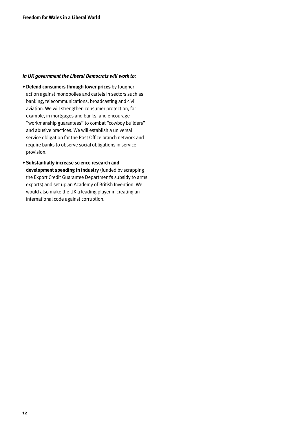#### *In UK government the Liberal Democrats will work to:*

- **Defend consumers through lower prices** by tougher action against monopolies and cartels in sectors such as banking, telecommunications, broadcasting and civil aviation. We will strengthen consumer protection, for example, in mortgages and banks, and encourage "workmanship guarantees" to combat "cowboy builders" and abusive practices. We will establish a universal service obligation for the Post Office branch network and require banks to observe social obligations in service provision.
- **Substantially increase science research and development spending in industry** (funded by scrapping the Export Credit Guarantee Department's subsidy to arms exports) and set up an Academy of British Invention. We would also make the UK a leading player in creating an international code against corruption.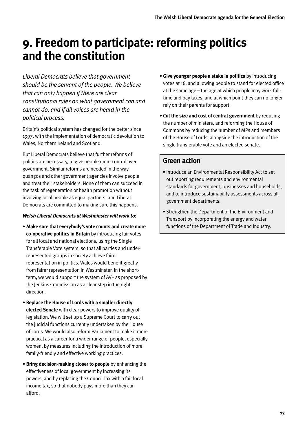# **9. Freedom to participate: reforming politics and the constitution**

*Liberal Democrats believe that government should be the servant of the people. We believe that can only happen if there are clear constitutional rules on what government can and cannot do, and if all voices are heard in the political process.*

Britain's political system has changed for the better since 1997, with the implementation of democratic devolution to Wales, Northern Ireland and Scotland,

But Liberal Democrats believe that further reforms of politics are necessary, to give people more control over government. Similar reforms are needed in the way quangos and other government agencies involve people and treat their stakeholders. None of them can succeed in the task of regeneration or health promotion without involving local people as equal partners, and Liberal Democrats are committed to making sure this happens.

#### *Welsh Liberal Democrats at Westminster will work to:*

- **Make sure that everybody's vote counts and create more co-operative politics in Britain** by introducing fair votes for all local and national elections, using the Single Transferable Vote system, so that all parties and underrepresented groups in society achieve fairer representation in politics. Wales would benefit greatly from fairer representation in Westminster. In the shortterm, we would support the system of AV+ as proposed by the Jenkins Commission as a clear step in the right direction.
- **Replace the House of Lords with a smaller directly elected Senate** with clear powers to improve quality of legislation. We will set up a Supreme Court to carry out the judicial functions currently undertaken by the House of Lords. We would also reform Parliament to make it more practical as a career for a wider range of people, especially women, by measures including the introduction of more family-friendly and effective working practices.
- **Bring decision-making closer to people** by enhancing the effectiveness of local government by increasing its powers, and by replacing the Council Tax with a fair local income tax, so that nobody pays more than they can afford.
- **Give younger people a stake in politics** by introducing votes at 16, and allowing people to stand for elected office at the same age – the age at which people may work fulltime and pay taxes, and at which point they can no longer rely on their parents for support.
- **Cut the size and cost of central government** by reducing the number of ministers, and reforming the House of Commons by reducing the number of MPs and members of the House of Lords, alongside the introduction of the single transferable vote and an elected senate.

- Introduce an Environmental Responsibility Act to set out reporting requirements and environmental standards for government, businesses and households, and to introduce sustainability assessments across all government departments.
- Strengthen the Department of the Environment and Transport by incorporating the energy and water functions of the Department of Trade and Industry.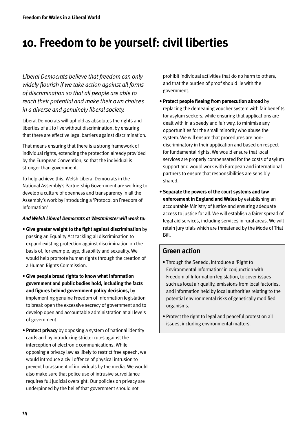# **10. Freedom to be yourself: civil liberties**

*Liberal Democrats believe that freedom can only widely flourish if we take action against all forms of discrimination so that all people are able to reach their potential and make their own choices in a diverse and genuinely liberal society.*

Liberal Democrats will uphold as absolutes the rights and liberties of all to live without discrimination, by ensuring that there are effective legal barriers against discrimination.

That means ensuring that there is a strong framework of individual rights, extending the protection already provided by the European Convention, so that the individual is stronger than government.

To help achieve this, Welsh Liberal Democrats in the National Assembly's Partnership Government are working to develop a culture of openness and transparency in all the Assembly's work by introducing a 'Protocol on Freedom of Information'

#### *And Welsh Liberal Democrats at Westminster will work to:*

- **Give greater weight to the fight against discrimination** by passing an Equality Act tackling all discrimination to expand existing protection against discrimination on the basis of, for example, age, disability and sexuality. We would help promote human rights through the creation of a Human Rights Commission.
- **Give people broad rights to know what information government and public bodies hold, including the facts and figures behind government policy decisions,** by implementing genuine Freedom of Information legislation to break open the excessive secrecy of government and to develop open and accountable administration at all levels of government.
- **Protect privacy** by opposing a system of national identity cards and by introducing stricter rules against the interception of electronic communications. While opposing a privacy law as likely to restrict free speech, we would introduce a civil offence of physical intrusion to prevent harassment of individuals by the media. We would also make sure that police use of intrusive surveillance requires full judicial oversight. Our policies on privacy are underpinned by the belief that government should not

prohibit individual activities that do no harm to others, and that the burden of proof should lie with the government.

- **Protect people fleeing from persecution abroad** by replacing the demeaning voucher system with fair benefits for asylum seekers, while ensuring that applications are dealt with in a speedy and fair way, to minimise any opportunities for the small minority who abuse the system. We will ensure that procedures are nondiscriminatory in their application and based on respect for fundamental rights. We would ensure that local services are properly compensated for the costs of asylum support and would work with European and international partners to ensure that responsibilities are sensibly shared.
- **Separate the powers of the court systems and law enforcement in England and Wales** by establishing an accountable Ministry of Justice and ensuring adequate access to justice for all. We will establish a fairer spread of legal aid services, including services in rural areas. We will retain jury trials which are threatened by the Mode of Trial Bill.

- Through the Senedd, introduce a 'Right to Environmental Information' in conjunction with Freedom of Information legislation, to cover issues such as local air quality, emissions from local factories, and information held by local authorities relating to the potential environmental risks of genetically modified organisms.
- Protect the right to legal and peaceful protest on all issues, including environmental matters.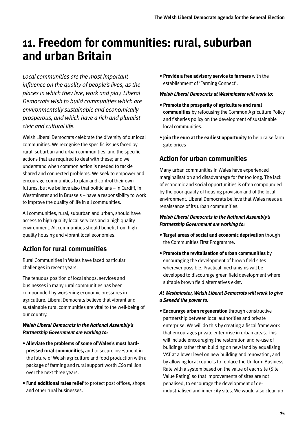# **11. Freedom for communities: rural, suburban and urban Britain**

*Local communities are the most important influence on the quality of people's lives, as the places in which they live, work and play. Liberal Democrats wish to build communities which are environmentally sustainable and economically prosperous, and which have a rich and pluralist civic and cultural life.*

Welsh Liberal Democrats celebrate the diversity of our local communities. We recognise the specific issues faced by rural, suburban and urban communities, and the specific actions that are required to deal with these; and we understand when common action is needed to tackle shared and connected problems. We seek to empower and encourage communities to plan and control their own futures, but we believe also that politicians – in Cardiff, in Westminster and in Brussels – have a responsibility to work to improve the quality of life in all communities.

All communities, rural, suburban and urban, should have access to high quality local services and a high quality environment. All communities should benefit from high quality housing and vibrant local economies.

### **Action for rural communities**

Rural Communities in Wales have faced particular challenges in recent years.

The tenuous position of local shops, services and businesses in many rural communities has been compounded by worsening economic pressures in agriculture. Liberal Democrats believe that vibrant and sustainable rural communities are vital to the well-being of our country.

#### *Welsh Liberal Democrats in the National Assembly's Partnership Government are working to:*

- **Alleviate the problems of some of Wales's most hardpressed rural communities,** and to secure investment in the future of Welsh agriculture and food production with a package of farming and rural support worth £60 million over the next three years.
- **Fund additional rates relief** to protect post offices, shops and other rural businesses.

• **Provide a free advisory service to farmers** with the establishment of 'Farming Connect'.

#### *Welsh Liberal Democrats at Westminster will work to:*

- **Promote the prosperity of agriculture and rural communities** by refocusing the Common Agriculture Policy and fisheries policy on the development of sustainable local communities.
- J**oin the euro at the earliest opportunity** to help raise farm gate prices

### **Action for urban communities**

Many urban communities in Wales have experienced marginalisation and disadvantage for far too long. The lack of economic and social opportunities is often compounded by the poor quality of housing provision and of the local environment. Liberal Democrats believe that Wales needs a renaissance of its urban communities.

#### *Welsh Liberal Democrats in the National Assembly's Partnership Government are working to:*

- **Target areas of social and economic deprivation** though the Communities First Programme.
- **Promote the revitalisation of urban communities** by encouraging the development of brown field sites wherever possible. Practical mechanisms will be developed to discourage green field development where suitable brown field alternatives exist.

#### *At Westminster, Welsh Liberal Democrats will work to give a Senedd the power to:*

• **Encourage urban regeneration** through constructive partnership between local authorities and private enterprise. We will do this by creating a fiscal framework that encourages private enterprise in urban areas. This will include encouraging the restoration and re-use of buildings rather than building on new land by equalising VAT at a lower level on new building and renovation, and by allowing local councils to replace the Uniform Business Rate with a system based on the value of each site (Site Value Rating) so that improvements of sites are not penalised, to encourage the development of deindustrialised and inner-city sites. We would also clean up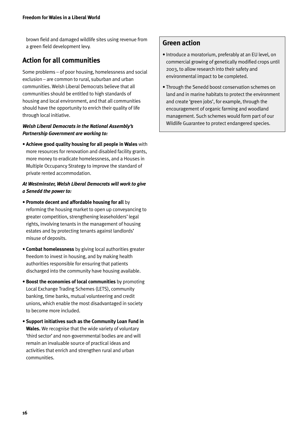brown field and damaged wildlife sites using revenue from a green field development levy.

### **Action for all communities**

Some problems – of poor housing, homelessness and social exclusion – are common to rural, suburban and urban communities. Welsh Liberal Democrats believe that all communities should be entitled to high standards of housing and local environment, and that all communities should have the opportunity to enrich their quality of life through local initiative.

#### *Welsh Liberal Democrats in the National Assembly's Partnership Government are working to:*

• **Achieve good quality housing for all people in Wales** with more resources for renovation and disabled facility grants, more money to eradicate homelessness, and a Houses in Multiple Occupancy Strategy to improve the standard of private rented accommodation.

#### *At Westminster, Welsh Liberal Democrats will work to give a Senedd the power to:*

- **Promote decent and affordable housing for all** by reforming the housing market to open up conveyancing to greater competition, strengthening leaseholders' legal rights, involving tenants in the management of housing estates and by protecting tenants against landlords' misuse of deposits.
- **Combat homelessness** by giving local authorities greater freedom to invest in housing, and by making health authorities responsible for ensuring that patients discharged into the community have housing available.
- **Boost the economies of local communities** by promoting Local Exchange Trading Schemes (LETS), community banking, time banks, mutual volunteering and credit unions, which enable the most disadvantaged in society to become more included.
- **Support initiatives such as the Community Loan Fund in Wales.** We recognise that the wide variety of voluntary 'third sector' and non-governmental bodies are and will remain an invaluable source of practical ideas and activities that enrich and strengthen rural and urban communities.

- Introduce a moratorium, preferably at an EU level, on commercial growing of genetically modified crops until 2003, to allow research into their safety and environmental impact to be completed.
- Through the Senedd boost conservation schemes on land and in marine habitats to protect the environment and create 'green jobs', for example, through the encouragement of organic farming and woodland management. Such schemes would form part of our Wildlife Guarantee to protect endangered species.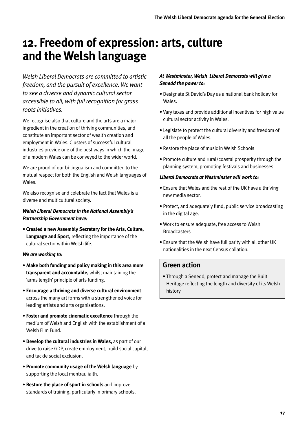# **12. Freedom of expression: arts, culture and the Welsh language**

*Welsh Liberal Democrats are committed to artistic freedom, and the pursuit of excellence. We want to see a diverse and dynamic cultural sector accessible to all, with full recognition for grass roots initiatives.*

We recognise also that culture and the arts are a major ingredient in the creation of thriving communities, and constitute an important sector of wealth creation and employment in Wales. Clusters of successful cultural industries provide one of the best ways in which the image of a modern Wales can be conveyed to the wider world.

We are proud of our bi-lingualism and committed to the mutual respect for both the English and Welsh languages of Wales.

We also recognise and celebrate the fact that Wales is a diverse and multicultural society.

#### *Welsh Liberal Democrats in the National Assembly's Partnership Government have:*

• **Created a new Assembly Secretary for the Arts, Culture, Language and Sport,** reflecting the importance of the cultural sector within Welsh life.

#### *We are working to:*

- **Make both funding and policy making in this area more transparent and accountable,** whilst maintaining the 'arms length' principle of arts funding.
- **Encourage a thriving and diverse cultural environment** across the many art forms with a strengthened voice for leading artists and arts organisations.
- **Foster and promote cinematic excellence** through the medium of Welsh and English with the establishment of a Welsh Film Fund.
- **Develop the cultural industries in Wales,** as part of our drive to raise GDP, create employment, build social capital, and tackle social exclusion.
- **Promote community usage of the Welsh language** by supporting the local mentrau iaith.
- **Restore the place of sport in schools** and improve standards of training, particularly in primary schools.

#### *At Westminster, Welsh Liberal Democrats will give a Senedd the power to:*

- Designate St David's Day as a national bank holiday for Wales.
- Vary taxes and provide additional incentives for high value cultural sector activity in Wales.
- Legislate to protect the cultural diversity and freedom of all the people of Wales.
- Restore the place of music in Welsh Schools
- Promote culture and rural/coastal prosperity through the planning system, promoting festivals and businesses

#### *Liberal Democrats at Westminster will work to:*

- Ensure that Wales and the rest of the UK have a thriving new media sector.
- Protect, and adequately fund, public service broadcasting in the digital age.
- Work to ensure adequate, free access to Welsh Broadcasters
- Ensure that the Welsh have full parity with all other UK nationalities in the next Census collation.

### **Green action**

• Through a Senedd, protect and manage the Built Heritage reflecting the length and diversity of its Welsh history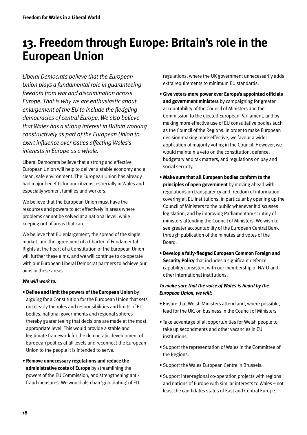# **13. Freedom through Europe: Britain's role in the European Union**

*Liberal Democrats believe that the European Union plays a fundamental role in guaranteeing freedom from war and discrimination across Europe. That is why we are enthusiastic about enlargement of the EU to include the fledgling democracies of central Europe. We also believe that Wales has a strong interest in Britain working constructively as part of the European Union to exert influence over issues affecting Wales's interests in Europe as a whole.*

Liberal Democrats believe that a strong and effective European Union will help to deliver a stable economy and a clean, safe environment. The European Union has already had major benefits for our citizens, especially in Wales and especially women, families and workers.

We believe that the European Union must have the resources and powers to act effectively in areas where problems cannot be solved at a national level, while keeping out of areas that can.

We believe that EU enlargement, the spread of the single market, and the agreement of a Charter of Fundamental Rights at the heart of a Constitution of the European Union will further these aims, and we will continue to co-operate with our European Liberal Democrat partners to achieve our aims in these areas.

#### *We will work to:*

- **Define and limit the powers of the European Union** by arguing for a Constitution for the European Union that sets out clearly the roles and responsibilities and limits of EU bodies, national governments and regional spheres thereby guaranteeing that decisions are made at the most appropriate level. This would provide a stable and legitimate framework for the democratic development of European politics at all levels and reconnect the European Union to the people it is intended to serve.
- **Remove unnecessary regulations and reduce the administrative costs of Europe** by streamlining the powers of the EU Commission, and strengthening antifraud measures. We would also ban 'goldplating' of EU

regulations, where the UK government unnecessarily adds extra requirements to minimum EU standards.

- **Give voters more power over Europe's appointed officials and government ministers** by campaigning for greater accountability of the Council of Ministers and the Commission to the elected European Parliament, and by making more effective use of EU consultative bodies such as the Council of the Regions. In order to make European decision-making more effective, we favour a wider application of majority voting in the Council. However, we would maintain a veto on the constitution, defence, budgetary and tax matters, and regulations on pay and social security.
- **Make sure that all European bodies conform to the principles of open government** by moving ahead with regulations on transparency and freedom of information covering all EU institutions, in particular by opening up the Council of Ministers to the public whenever it discusses legislation, and by improving Parliamentary scrutiny of ministers attending the Council of Ministers. We wish to see greater accountability of the European Central Bank through publication of the minutes and votes of the Board.
- **Develop a fully-fledged European Common Foreign and Security Policy** that includes a significant defence capability consistent with our membership of NATO and other international institutions.

#### *To make sure that the voice of Wales is heard by the European Union, we will:*

- Ensure that Welsh Ministers attend and, where possible, lead for the UK, on business in the Council of Ministers
- Take advantage of all opportunities for Welsh people to take up secondments and other vacancies in EU institutions.
- Support the representation of Wales in the Committee of the Regions.
- Support the Wales European Centre in Brussels.
- Support inter-regional co-operation projects with regions and nations of Europe with similar interests to Wales – not least the candidates states of East and Central Europe.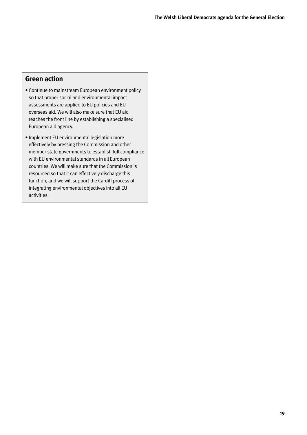- Continue to mainstream European environment policy so that proper social and environmental impact assessments are applied to EU policies and EU overseas aid. We will also make sure that EU aid reaches the front line by establishing a specialised European aid agency.
- Implement EU environmental legislation more effectively by pressing the Commission and other member state governments to establish full compliance with EU environmental standards in all European countries. We will make sure that the Commission is resourced so that it can effectively discharge this function, and we will support the Cardiff process of integrating environmental objectives into all EU activities.